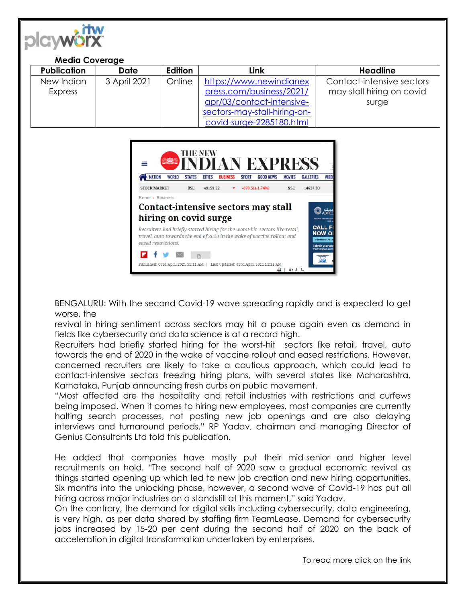

## **Media Coverage**

| <b>Publication</b> | Date         | Edition | Link                         | Headline                  |
|--------------------|--------------|---------|------------------------------|---------------------------|
| New Indian         | 3 April 2021 | Online  | https://www.newindianex      | Contact-intensive sectors |
| <b>Express</b>     |              |         | press.com/business/2021/     | may stall hiring on covid |
|                    |              |         | apr/03/contact-intensive-    | surge                     |
|                    |              |         | sectors-may-stall-hiring-on- |                           |
|                    |              |         | covid-surge-2285180.html     |                           |



BENGALURU: With the second Covid-19 wave spreading rapidly and is expected to get worse, the

revival in hiring sentiment across sectors may hit a pause again even as demand in fields like cybersecurity and data science is at a record high.

Recruiters had briefly started hiring for the worst-hit sectors like retail, travel, auto towards the end of 2020 in the wake of vaccine rollout and eased restrictions. However, concerned recruiters are likely to take a cautious approach, which could lead to contact-intensive sectors freezing hiring plans, with several states like Maharashtra, Karnataka, Punjab announcing fresh curbs on public movement.

"Most affected are the hospitality and retail industries with restrictions and curfews being imposed. When it comes to hiring new employees, most companies are currently halting search processes, not posting new job openings and are also delaying interviews and turnaround periods." RP Yadav, chairman and managing Director of Genius Consultants Ltd told this publication.

He added that companies have mostly put their mid-senior and higher level recruitments on hold. "The second half of 2020 saw a gradual economic revival as things started opening up which led to new job creation and new hiring opportunities. Six months into the unlocking phase, however, a second wave of Covid-19 has put all hiring across major industries on a standstill at this moment," said Yadav.

On the contrary, the demand for digital skills including cybersecurity, data engineering, is very high, as per data shared by staffing firm TeamLease. Demand for cybersecurity jobs increased by 15-20 per cent during the second half of 2020 on the back of acceleration in digital transformation undertaken by enterprises.

To read more click on the link